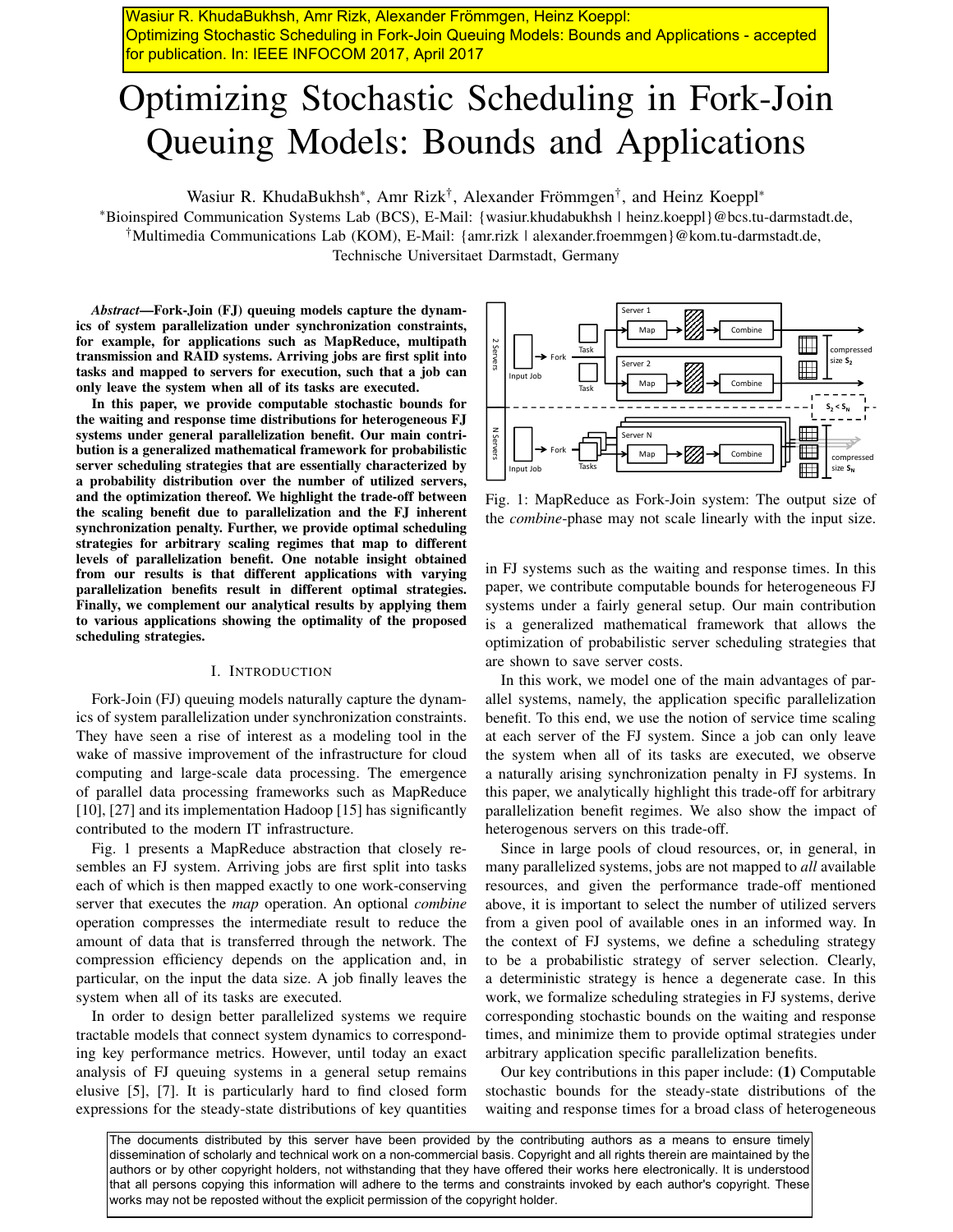Wasiur R. KhudaBukhsh, Amr Rizk, Alexander Frömmgen, Heinz Koeppl: Optimizing Stochastic Scheduling in Fork-Join Queuing Models: Bounds and Applications - accepted for publication. In: IEEE INFOCOM 2017, April 2017

# Optimizing Stochastic Scheduling in Fork-Join Queuing Models: Bounds and Applications

Wasiur R. KhudaBukhsh<sup>∗</sup>, Amr Rizk<sup>†</sup>, Alexander Frömmgen<sup>†</sup>, and Heinz Koeppl<sup>∗</sup>

<sup>∗</sup>Bioinspired Communication Systems Lab (BCS), E-Mail: {wasiur.khudabukhsh | heinz.koeppl}@bcs.tu-darmstadt.de, †Multimedia Communications Lab (KOM), E-Mail: {amr.rizk | alexander.froemmgen}@kom.tu-darmstadt.de, Technische Universitaet Darmstadt, Germany

*Abstract*—Fork-Join (FJ) queuing models capture the dynamics of system parallelization under synchronization constraints, for example, for applications such as MapReduce, multipath transmission and RAID systems. Arriving jobs are first split into tasks and mapped to servers for execution, such that a job can only leave the system when all of its tasks are executed.

In this paper, we provide computable stochastic bounds for the waiting and response time distributions for heterogeneous FJ systems under general parallelization benefit. Our main contribution is a generalized mathematical framework for probabilistic server scheduling strategies that are essentially characterized by a probability distribution over the number of utilized servers, and the optimization thereof. We highlight the trade-off between the scaling benefit due to parallelization and the FJ inherent synchronization penalty. Further, we provide optimal scheduling strategies for arbitrary scaling regimes that map to different levels of parallelization benefit. One notable insight obtained from our results is that different applications with varying parallelization benefits result in different optimal strategies. Finally, we complement our analytical results by applying them to various applications showing the optimality of the proposed scheduling strategies.

## I. INTRODUCTION

Fork-Join (FJ) queuing models naturally capture the dynamics of system parallelization under synchronization constraints. They have seen a rise of interest as a modeling tool in the wake of massive improvement of the infrastructure for cloud computing and large-scale data processing. The emergence of parallel data processing frameworks such as MapReduce [10], [27] and its implementation Hadoop [15] has significantly contributed to the modern IT infrastructure.

Fig. 1 presents a MapReduce abstraction that closely resembles an FJ system. Arriving jobs are first split into tasks each of which is then mapped exactly to one work-conserving server that executes the *map* operation. An optional *combine* operation compresses the intermediate result to reduce the amount of data that is transferred through the network. The compression efficiency depends on the application and, in particular, on the input the data size. A job finally leaves the system when all of its tasks are executed.

In order to design better parallelized systems we require tractable models that connect system dynamics to corresponding key performance metrics. However, until today an exact analysis of FJ queuing systems in a general setup remains elusive [5], [7]. It is particularly hard to find closed form expressions for the steady-state distributions of key quantities



Fig. 1: MapReduce as Fork-Join system: The output size of the *combine*-phase may not scale linearly with the input size.

in FJ systems such as the waiting and response times. In this paper, we contribute computable bounds for heterogeneous FJ systems under a fairly general setup. Our main contribution is a generalized mathematical framework that allows the optimization of probabilistic server scheduling strategies that are shown to save server costs.

In this work, we model one of the main advantages of parallel systems, namely, the application specific parallelization benefit. To this end, we use the notion of service time scaling at each server of the FJ system. Since a job can only leave the system when all of its tasks are executed, we observe a naturally arising synchronization penalty in FJ systems. In this paper, we analytically highlight this trade-off for arbitrary parallelization benefit regimes. We also show the impact of heterogenous servers on this trade-off.

Since in large pools of cloud resources, or, in general, in many parallelized systems, jobs are not mapped to *all* available resources, and given the performance trade-off mentioned above, it is important to select the number of utilized servers from a given pool of available ones in an informed way. In the context of FJ systems, we define a scheduling strategy to be a probabilistic strategy of server selection. Clearly, a deterministic strategy is hence a degenerate case. In this work, we formalize scheduling strategies in FJ systems, derive corresponding stochastic bounds on the waiting and response times, and minimize them to provide optimal strategies under arbitrary application specific parallelization benefits.

Our key contributions in this paper include: (1) Computable stochastic bounds for the steady-state distributions of the waiting and response times for a broad class of heterogeneous

The documents distributed by this server have been provided by the contributing authors as a means to ensure timely dissemination of scholarly and technical work on a non-commercial basis. Copyright and all rights therein are maintained by the authors or by other copyright holders, not withstanding that they have offered their works here electronically. It is understood that all persons copying this information will adhere to the terms and constraints invoked by each author's copyright. These works may not be reposted without the explicit permission of the copyright holder.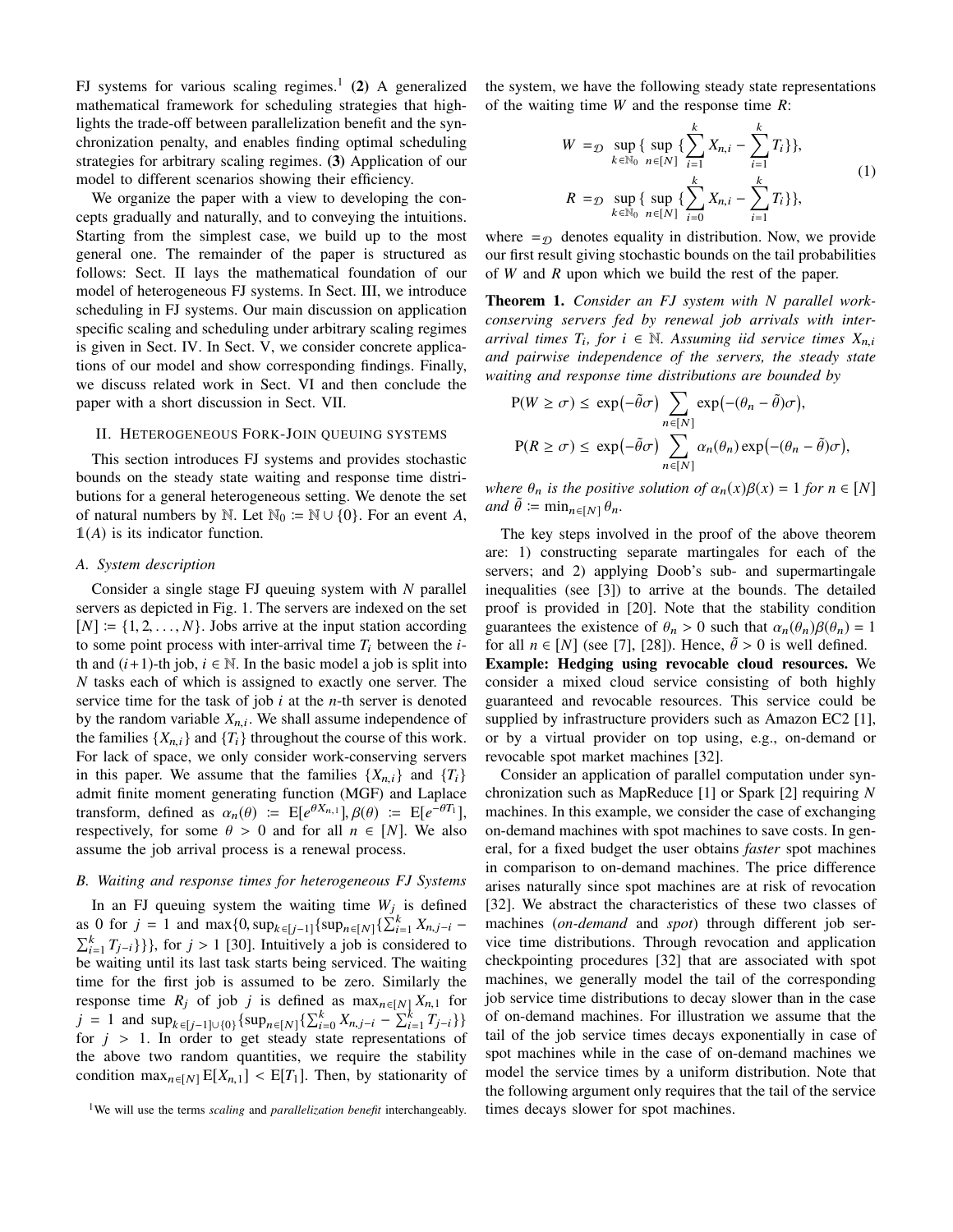FJ systems for various scaling regimes.<sup>1</sup> (2) A generalized mathematical framework for scheduling strategies that highlights the trade-off between parallelization benefit and the synchronization penalty, and enables finding optimal scheduling strategies for arbitrary scaling regimes. (3) Application of our model to different scenarios showing their efficiency.

We organize the paper with a view to developing the concepts gradually and naturally, and to conveying the intuitions. Starting from the simplest case, we build up to the most general one. The remainder of the paper is structured as follows: Sect. II lays the mathematical foundation of our model of heterogeneous FJ systems. In Sect. III, we introduce scheduling in FJ systems. Our main discussion on application specific scaling and scheduling under arbitrary scaling regimes is given in Sect. IV. In Sect. V, we consider concrete applications of our model and show corresponding findings. Finally, we discuss related work in Sect. VI and then conclude the paper with a short discussion in Sect. VII.

# II. HETEROGENEOUS FORK-JOIN QUEUING SYSTEMS

This section introduces FJ systems and provides stochastic bounds on the steady state waiting and response time distributions for a general heterogeneous setting. We denote the set of natural numbers by N. Let  $\mathbb{N}_0 := \mathbb{N} \cup \{0\}$ . For an event *A*, 1(*A*) is its indicator function.

#### *A. System description*

Consider a single stage FJ queuing system with *N* parallel servers as depicted in Fig. 1. The servers are indexed on the set  $[N] := \{1, 2, \ldots, N\}$ . Jobs arrive at the input station according to some point process with inter-arrival time  $T_i$  between the *i*th and  $(i+1)$ -th job,  $i \in \mathbb{N}$ . In the basic model a job is split into *N* tasks each of which is assigned to exactly one server. The service time for the task of job *i* at the *n*-th server is denoted by the random variable  $X_{n,i}$ . We shall assume independence of the families  $\{X_{n,i}\}\$  and  $\{T_i\}$  throughout the course of this work. For lack of space, we only consider work-conserving servers in this paper. We assume that the families  $\{X_{n,i}\}\$  and  $\{T_i\}$ admit finite moment generating function (MGF) and Laplace transform, defined as  $\alpha_n(\theta) := \mathbb{E}[e^{\theta X_{n,1}}], \beta(\theta) := \mathbb{E}[e^{-\theta T_1}],$ respectively, for some  $\theta > 0$  and for all  $n \in [N]$ . We also assume the job arrival process is a renewal process.

#### *B. Waiting and response times for heterogeneous FJ Systems*

In an FJ queuing system the waiting time  $W_j$  is defined as 0 for  $j = 1$  and max $\{0, \sup_{k \in [j-1]} \{ \sup_{n \in [N]} \{ \sum_{i=1}^{k} X_{n,j-i} \sum_{i=1}^{k} T_{j-i}$ }}, for *j* > 1 [30]. Intuitively a job is considered to be waiting until its last task starts being serviced. The waiting time for the first job is assumed to be zero. Similarly the response time  $R_j$  of job *j* is defined as  $\max_{n \in [N]} X_{n,1}$  for *j* = 1 and  $\sup_{k \in [j-1] \cup \{0\}} \{ \sup_{n \in [N]} \{ \sum_{i=0}^{k} X_{n,j-i} - \sum_{i=1}^{k} T_{j-i} \} \}$ for  $j > 1$ . In order to get steady state representations of the above two random quantities, we require the stability condition max<sub>n∈[N]</sub>  $E[X_{n,1}] < E[T_1]$ . Then, by stationarity of the system, we have the following steady state representations of the waiting time *W* and the response time *R*:

$$
W =_{\mathcal{D}} \sup_{k \in \mathbb{N}_0} \{ \sup_{n \in [N]} \{ \sum_{i=1}^k X_{n,i} - \sum_{i=1}^k T_i \} \},
$$
  

$$
R =_{\mathcal{D}} \sup_{k \in \mathbb{N}_0} \{ \sup_{n \in [N]} \{ \sum_{i=0}^k X_{n,i} - \sum_{i=1}^k T_i \} \},
$$
 (1)

where  $=_{\mathcal{D}}$  denotes equality in distribution. Now, we provide our first result giving stochastic bounds on the tail probabilities of *W* and *R* upon which we build the rest of the paper.

Theorem 1. *Consider an FJ system with N parallel workconserving servers fed by renewal job arrivals with interarrival times*  $T_i$ , *for i* ∈  $\mathbb N$ *. Assuming iid service times*  $X_{n,i}$ *and pairwise independence of the servers, the steady state waiting and response time distributions are bounded by*

$$
P(W \ge \sigma) \le \exp(-\tilde{\theta}\sigma) \sum_{n \in [N]} \exp(-(\theta_n - \tilde{\theta})\sigma),
$$
  
 
$$
P(R \ge \sigma) \le \exp(-\tilde{\theta}\sigma) \sum_{n \in [N]} \alpha_n(\theta_n) \exp(-(\theta_n - \tilde{\theta})\sigma),
$$

*where*  $\theta_n$  *is the positive solution of*  $\alpha_n(x)\beta(x) = 1$  *for*  $n \in [N]$ *and*  $\tilde{\theta} \coloneqq \min_{n \in [N]} \theta_n$ .

The key steps involved in the proof of the above theorem are: 1) constructing separate martingales for each of the servers; and 2) applying Doob's sub- and supermartingale inequalities (see [3]) to arrive at the bounds. The detailed proof is provided in [20]. Note that the stability condition guarantees the existence of  $\theta_n > 0$  such that  $\alpha_n(\theta_n)\beta(\theta_n) = 1$ for all  $n \in [N]$  (see [7], [28]). Hence,  $\tilde{\theta} > 0$  is well defined. Example: Hedging using revocable cloud resources. We consider a mixed cloud service consisting of both highly guaranteed and revocable resources. This service could be supplied by infrastructure providers such as Amazon EC2 [1], or by a virtual provider on top using, e.g., on-demand or revocable spot market machines [32].

Consider an application of parallel computation under synchronization such as MapReduce [1] or Spark [2] requiring *N* machines. In this example, we consider the case of exchanging on-demand machines with spot machines to save costs. In general, for a fixed budget the user obtains *faster* spot machines in comparison to on-demand machines. The price difference arises naturally since spot machines are at risk of revocation [32]. We abstract the characteristics of these two classes of machines (*on-demand* and *spot*) through different job service time distributions. Through revocation and application checkpointing procedures [32] that are associated with spot machines, we generally model the tail of the corresponding job service time distributions to decay slower than in the case of on-demand machines. For illustration we assume that the tail of the job service times decays exponentially in case of spot machines while in the case of on-demand machines we model the service times by a uniform distribution. Note that the following argument only requires that the tail of the service times decays slower for spot machines.

<sup>&</sup>lt;sup>1</sup>We will use the terms *scaling* and *parallelization benefit* interchangeably.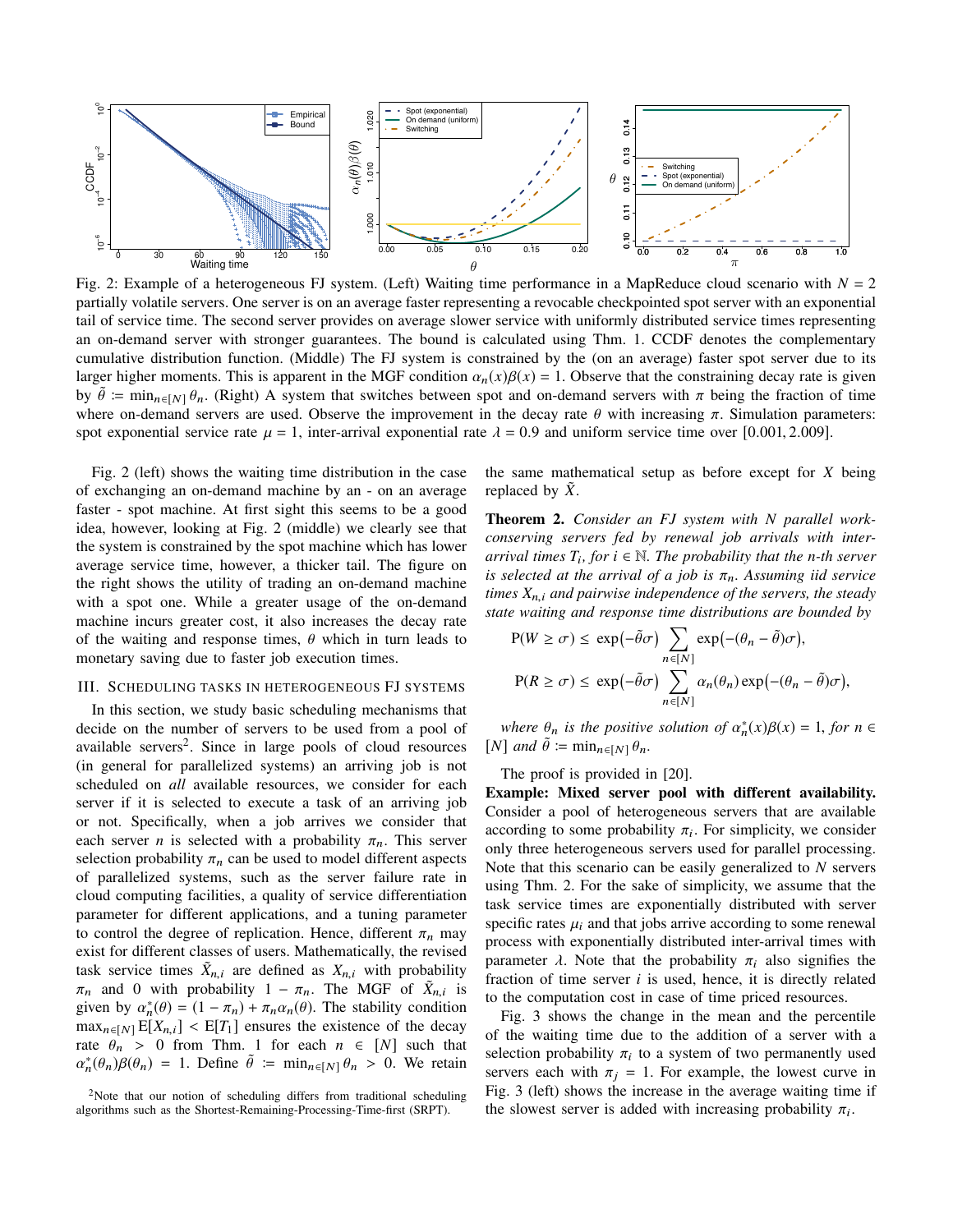

Fig. 2: Example of a heterogeneous FJ system. (Left) Waiting time performance in a MapReduce cloud scenario with  $N = 2$ partially volatile servers. One server is on an average faster representing a revocable checkpointed spot server with an exponential tail of service time. The second server provides on average slower service with uniformly distributed service times representing an on-demand server with stronger guarantees. The bound is calculated using Thm. 1. CCDF denotes the complementary cumulative distribution function. (Middle) The FJ system is constrained by the (on an average) faster spot server due to its larger higher moments. This is apparent in the MGF condition  $\alpha_n(x)\beta(x) = 1$ . Observe that the constraining decay rate is given by  $\tilde{\theta}$  ≔ min<sub>n∈[N]</sub>  $\theta_n$ . (Right) A system that switches between spot and on-demand servers with  $\pi$  being the fraction of time where on-demand servers are used. Observe the improvement in the decay rate  $\theta$  with increasing  $\pi$ . Simulation parameters: spot exponential service rate  $\mu = 1$ , inter-arrival exponential rate  $\lambda = 0.9$  and uniform service time over [0.001, 2.009].

Fig. 2 (left) shows the waiting time distribution in the case of exchanging an on-demand machine by an - on an average faster - spot machine. At first sight this seems to be a good idea, however, looking at Fig. 2 (middle) we clearly see that the system is constrained by the spot machine which has lower average service time, however, a thicker tail. The figure on the right shows the utility of trading an on-demand machine with a spot one. While a greater usage of the on-demand machine incurs greater cost, it also increases the decay rate of the waiting and response times,  $\theta$  which in turn leads to monetary saving due to faster job execution times.

## III. SCHEDULING TASKS IN HETEROGENEOUS FJ SYSTEMS

In this section, we study basic scheduling mechanisms that decide on the number of servers to be used from a pool of available servers<sup>2</sup>. Since in large pools of cloud resources (in general for parallelized systems) an arriving job is not scheduled on *all* available resources, we consider for each server if it is selected to execute a task of an arriving job or not. Specifically, when a job arrives we consider that each server *n* is selected with a probability  $\pi_n$ . This server selection probability  $\pi_n$  can be used to model different aspects of parallelized systems, such as the server failure rate in cloud computing facilities, a quality of service differentiation parameter for different applications, and a tuning parameter to control the degree of replication. Hence, different  $\pi_n$  may exist for different classes of users. Mathematically, the revised task service times  $\tilde{X}_{n,i}$  are defined as  $X_{n,i}$  with probability  $\pi_n$  and 0 with probability 1 –  $\pi_n$ . The MGF of  $\tilde{X}_{n,i}$  is given by  $\alpha_n^*(\theta) = (1 - \pi_n) + \pi_n \alpha_n(\theta)$ . The stability condition  $\max_{n \in [N]} E[X_{n,i}] < E[T_1]$  ensures the existence of the decay rate  $\theta_n > 0$  from Thm. 1 for each  $n \in [N]$  such that  $\alpha_n^*(\theta_n)\beta(\theta_n) = 1$ . Define  $\tilde{\theta} := \min_{n \in [N]} \theta_n > 0$ . We retain the same mathematical setup as before except for *X* being replaced by  $\ddot{X}$ .

Theorem 2. *Consider an FJ system with N parallel workconserving servers fed by renewal job arrivals with inter-* $\alpha$ *arrival times*  $T_i$ *, for i*  $\in \mathbb{N}$ *. The probability that the n-th server is selected at the arrival of a job is*  $\pi_n$ . Assuming *iid service times X*n,<sup>i</sup> *and pairwise independence of the servers, the steady state waiting and response time distributions are bounded by*

$$
P(W \ge \sigma) \le \exp(-\tilde{\theta}\sigma) \sum_{n \in [N]} \exp(-(\theta_n - \tilde{\theta})\sigma),
$$
  
 
$$
P(R \ge \sigma) \le \exp(-\tilde{\theta}\sigma) \sum_{n \in [N]} \alpha_n(\theta_n) \exp(-(\theta_n - \tilde{\theta})\sigma),
$$

*where*  $\theta_n$  *is the positive solution of*  $\alpha_n^*(x)\beta(x) = 1$ , *for*  $n \in$  $[N]$  *and*  $\tilde{\theta} \coloneqq \min_{n \in [N]} \theta_n$ .

The proof is provided in [20].

Example: Mixed server pool with different availability. Consider a pool of heterogeneous servers that are available according to some probability  $\pi_i$ . For simplicity, we consider only three heterogeneous servers used for parallel processing. Note that this scenario can be easily generalized to *N* servers using Thm. 2. For the sake of simplicity, we assume that the task service times are exponentially distributed with server specific rates  $\mu_i$  and that jobs arrive according to some renewal process with exponentially distributed inter-arrival times with parameter  $\lambda$ . Note that the probability  $\pi_i$  also signifies the fraction of time server  $i$  is used, hence, it is directly related to the computation cost in case of time priced resources.

Fig. 3 shows the change in the mean and the percentile of the waiting time due to the addition of a server with a selection probability  $\pi_i$  to a system of two permanently used servers each with  $\pi_i = 1$ . For example, the lowest curve in Fig. 3 (left) shows the increase in the average waiting time if the slowest server is added with increasing probability  $\pi_i$ .

<sup>&</sup>lt;sup>2</sup>Note that our notion of scheduling differs from traditional scheduling algorithms such as the Shortest-Remaining-Processing-Time-first (SRPT).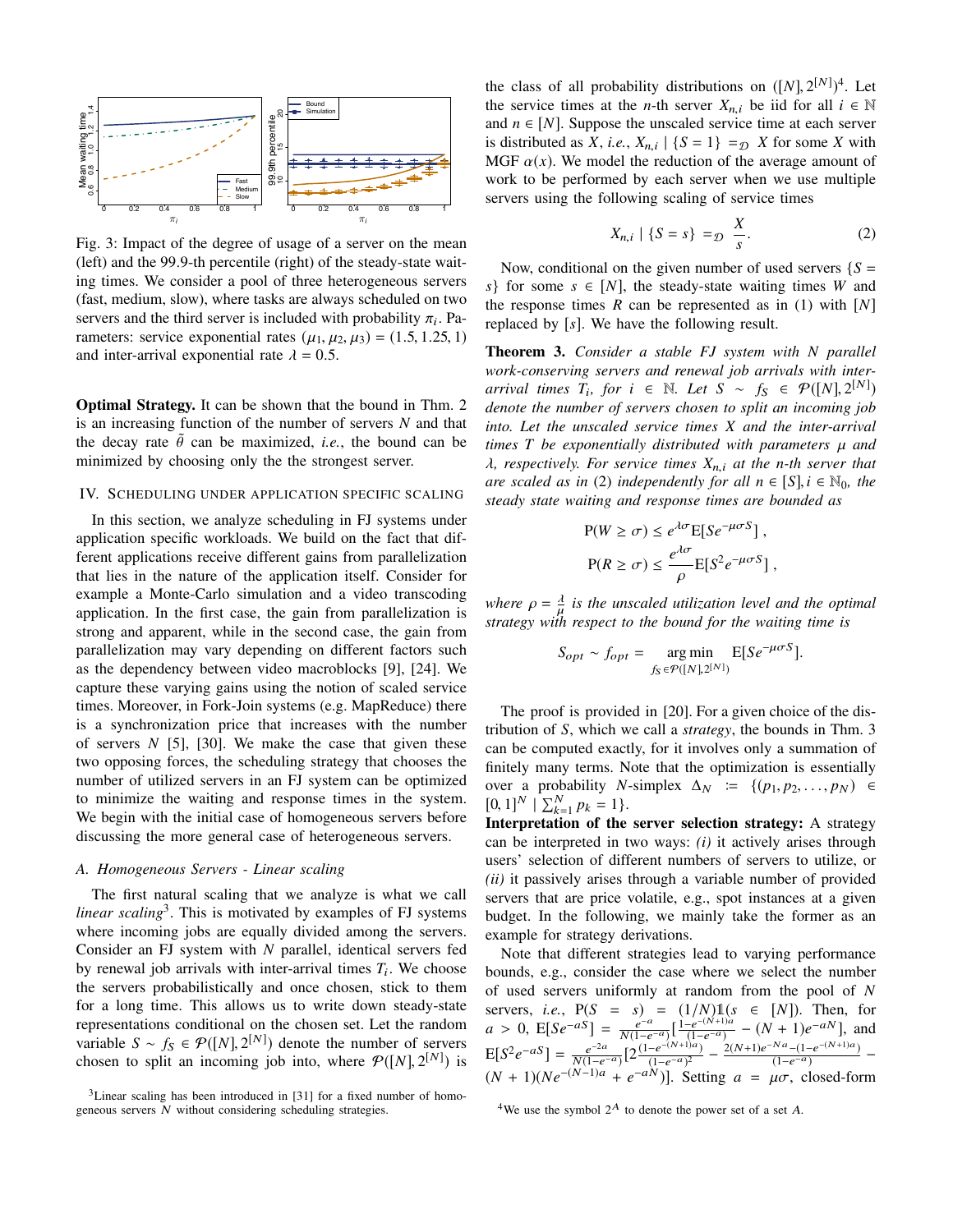

Fig. 3: Impact of the degree of usage of a server on the mean (left) and the 99.9-th percentile (right) of the steady-state waiting times. We consider a pool of three heterogeneous servers (fast, medium, slow), where tasks are always scheduled on two servers and the third server is included with probability  $\pi_i$ . Parameters: service exponential rates  $(\mu_1, \mu_2, \mu_3) = (1.5, 1.25, 1)$ and inter-arrival exponential rate  $\lambda = 0.5$ .

Optimal Strategy. It can be shown that the bound in Thm. 2 is an increasing function of the number of servers *N* and that the decay rate  $\tilde{\theta}$  can be maximized, *i.e.*, the bound can be minimized by choosing only the the strongest server.

# IV. SCHEDULING UNDER APPLICATION SPECIFIC SCALING

In this section, we analyze scheduling in FJ systems under application specific workloads. We build on the fact that different applications receive different gains from parallelization that lies in the nature of the application itself. Consider for example a Monte-Carlo simulation and a video transcoding application. In the first case, the gain from parallelization is strong and apparent, while in the second case, the gain from parallelization may vary depending on different factors such as the dependency between video macroblocks [9], [24]. We capture these varying gains using the notion of scaled service times. Moreover, in Fork-Join systems (e.g. MapReduce) there is a synchronization price that increases with the number of servers *N* [5], [30]. We make the case that given these two opposing forces, the scheduling strategy that chooses the number of utilized servers in an FJ system can be optimized to minimize the waiting and response times in the system. We begin with the initial case of homogeneous servers before discussing the more general case of heterogeneous servers.

## *A. Homogeneous Servers - Linear scaling*

The first natural scaling that we analyze is what we call linear scaling<sup>3</sup>. This is motivated by examples of FJ systems where incoming jobs are equally divided among the servers. Consider an FJ system with *N* parallel, identical servers fed by renewal job arrivals with inter-arrival times  $T_i$ . We choose the servers probabilistically and once chosen, stick to them for a long time. This allows us to write down steady-state representations conditional on the chosen set. Let the random variable  $S \sim f_S \in \mathcal{P}([N], 2^{[N]})$  denote the number of servers chosen to split an incoming job into, where  $P([N], 2^{[N]})$  is

the class of all probability distributions on  $([N], 2^{[N]})^4$ . Let the service times at the *n*-th server  $X_{n,i}$  be iid for all  $i \in \mathbb{N}$ and  $n \in [N]$ . Suppose the unscaled service time at each server is distributed as *X*, *i.e.*,  $X_{n,i}$  | {*S* = 1} =  $\mathcal{D}$  *X* for some *X* with MGF  $\alpha(x)$ . We model the reduction of the average amount of work to be performed by each server when we use multiple servers using the following scaling of service times

$$
X_{n,i} | \{ S = s \} =_{\mathcal{D}} \frac{X}{s}.
$$
 (2)

Now, conditional on the given number of used servers  ${S}$  = *s*} for some  $s \in [N]$ , the steady-state waiting times *W* and the response times  $R$  can be represented as in (1) with  $[N]$ replaced by [*s*]. We have the following result.

Theorem 3. *Consider a stable FJ system with N parallel work-conserving servers and renewal job arrivals with interarrival times*  $T_i$ , *for*  $i \in \mathbb{N}$ . Let  $S \sim f_S \in \mathcal{P}([N], 2^{[N]})$ *denote the number of servers chosen to split an incoming job into. Let the unscaled service times X and the inter-arrival times T be exponentially distributed with parameters* µ *and* λ*, respectively. For service times X*n,<sup>i</sup> *at the n-th server that are scaled as in* (2) *independently for all*  $n \in [S]$ ,  $i \in \mathbb{N}_0$ , the *steady state waiting and response times are bounded as*

$$
P(W \ge \sigma) \le e^{\lambda \sigma} E[S e^{-\mu \sigma S}],
$$
  

$$
P(R \ge \sigma) \le \frac{e^{\lambda \sigma}}{\rho} E[S^2 e^{-\mu \sigma S}],
$$

*where*  $\rho = \frac{\lambda}{\mu}$  *is the unscaled utilization level and the optimal strategy with respect to the bound for the waiting time is*

$$
S_{opt} \sim f_{opt} = \underset{f_S \in \mathcal{P}([N], 2^{[N]})}{\arg \min} \mathbb{E}[S e^{-\mu \sigma S}].
$$

The proof is provided in [20]. For a given choice of the distribution of *S*, which we call a *strategy*, the bounds in Thm. 3 can be computed exactly, for it involves only a summation of finitely many terms. Note that the optimization is essentially over a probability *N*-simplex  $\Delta_N := \{(p_1, p_2, \ldots, p_N) \in$  $[0, 1]^N$   $\big| \sum_{k=1}^N p_k = 1 \big\}.$ 

Interpretation of the server selection strategy: A strategy can be interpreted in two ways: *(i)* it actively arises through users' selection of different numbers of servers to utilize, or *(ii)* it passively arises through a variable number of provided servers that are price volatile, e.g., spot instances at a given budget. In the following, we mainly take the former as an example for strategy derivations.

Note that different strategies lead to varying performance bounds, e.g., consider the case where we select the number of used servers uniformly at random from the pool of *N* servers, *i.e.*,  $P(S = s) = (1/N)1(s \in [N])$ . Then, for  $a > 0$ ,  $E[Se^{-aS}] = \frac{e^{-a}}{N(1-a)}$  $\frac{e^{-a}}{N(1-e^{-a})} \left[ \frac{1-e^{-(N+1)a}}{(1-e^{-a})} \right]$  $\frac{-e^{-(N+1)a}}{(1-e^{-a})} - (N+1)e^{-aN}$ , and  $E[S^2e^{-aS}] = \frac{e^{-2a}}{N(1-e^{-aS})}$  $\frac{e^{-2a}}{N(1-e^{-a})}\left[2\frac{(1-e^{-(N+1)a})}{(1-e^{-a})^2}\right]$  $\frac{(-e^{-(N+1)a})}{(1-e^{-a})^2} - \frac{2(N+1)e^{-Na}-(1-e^{-(N+1)a})}{(1-e^{-a})}$  $\frac{-1-e^{-(1-e^{-(1-t)/a})}}{(1-e^{-a})}$  –  $(N + 1)(Ne^{-(N-1)a} + e^{-aN})$ . Setting  $a = \mu\sigma$ , closed-form

 $3$ Linear scaling has been introduced in [31] for a fixed number of homogeneous servers  $\overline{N}$  without considering scheduling strategies.

<sup>&</sup>lt;sup>4</sup>We use the symbol  $2^A$  to denote the power set of a set A.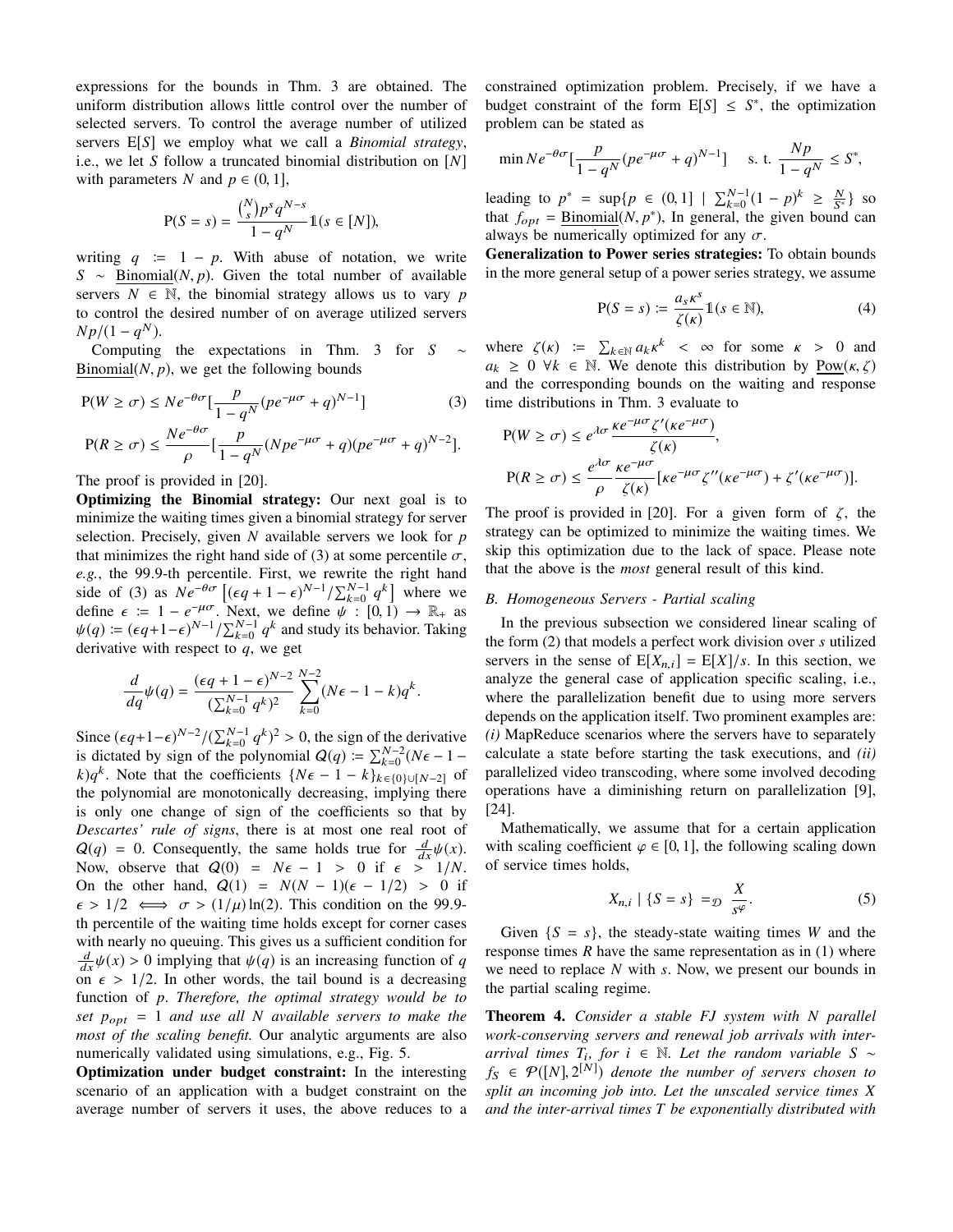expressions for the bounds in Thm. 3 are obtained. The uniform distribution allows little control over the number of selected servers. To control the average number of utilized servers E[*S*] we employ what we call a *Binomial strategy*, i.e., we let *S* follow a truncated binomial distribution on [*N*] with parameters *N* and  $p \in (0, 1]$ ,

$$
P(S = s) = \frac{\binom{N}{s} p^s q^{N-s}}{1 - q^N} \mathbb{1}(s \in [N]),
$$

writing  $q := 1 - p$ . With abuse of notation, we write *S* ∼ Binomial(*N*, *p*). Given the total number of available servers  $N \in \mathbb{N}$ , the binomial strategy allows us to vary *p* to control the desired number of on average utilized servers  $Np/(1-q^N)$ .

Computing the expectations in Thm. 3 for *S* ∼ Binomial $(N, p)$ , we get the following bounds

$$
P(W \ge \sigma) \le Ne^{-\theta\sigma} \left[\frac{p}{1-q^N}(pe^{-\mu\sigma} + q)^{N-1}\right]
$$
(3)  

$$
P(P > \tau) \le Me^{-\theta\sigma} \left[\frac{p}{1-q^N}(Nn e^{-\mu\sigma} + q)(n e^{-\mu\sigma} + q)^{N-2}\right]
$$

$$
P(R \ge \sigma) \le \frac{Ne^{-\theta\sigma}}{\rho} \left[ \frac{p}{1-q^N} (Npe^{-\mu\sigma} + q)(pe^{-\mu\sigma} + q)^{N-2} \right].
$$

The proof is provided in [20].

Optimizing the Binomial strategy: Our next goal is to minimize the waiting times given a binomial strategy for server selection. Precisely, given *N* available servers we look for *p* that minimizes the right hand side of (3) at some percentile  $\sigma$ , *e.g.*, the 99.9-th percentile. First, we rewrite the right hand side of (3) as  $Ne^{-\theta\sigma}\left[ (\epsilon q + 1 - \epsilon)^{N-1} / \sum_{k=0}^{N-1} q^k \right]$  where we define  $\epsilon = 1 - e^{-\mu\sigma}$ . Next, we define  $\psi : [0, 1) \to \mathbb{R}_+$  as  $\psi(q) \coloneqq (\epsilon q + 1 - \epsilon)^{N-1} / \sum_{k=0}^{N-1} q^k$  and study its behavior. Taking derivative with respect to *q*, we get

$$
\frac{d}{dq}\psi(q) = \frac{(\epsilon q + 1 - \epsilon)^{N-2}}{(\sum_{k=0}^{N-1} q^k)^2} \sum_{k=0}^{N-2} (N\epsilon - 1 - k)q^k.
$$

Since  $(\epsilon q+1-\epsilon)^{N-2}/(\sum_{k=0}^{N-1} q^k)^2 > 0$ , the sign of the derivative is dictated by sign of the polynomial  $Q(q) \coloneqq \sum_{k=0}^{N-2} (N\epsilon - 1$ *k*)*q*<sup>*k*</sup>. Note that the coefficients {*N*∈ − 1 − *k*}<sub>*k*∈{0}∪[*N*−2] of</sub> the polynomial are monotonically decreasing, implying there is only one change of sign of the coefficients so that by *Descartes' rule of signs*, there is at most one real root of  $Q(q) = 0$ . Consequently, the same holds true for  $\frac{d}{dx}\psi(x)$ . Now, observe that  $Q(0) = N\epsilon - 1 > 0$  if  $\epsilon > 1/N$ . On the other hand,  $Q(1) = N(N - 1)(\epsilon - 1/2) > 0$  if  $\epsilon > 1/2 \iff \sigma > (1/\mu) \ln(2)$ . This condition on the 99.9th percentile of the waiting time holds except for corner cases with nearly no queuing. This gives us a sufficient condition for  $\frac{d}{dx}\psi(x) > 0$  implying that  $\psi(q)$  is an increasing function of *q* on  $\epsilon > 1/2$ . In other words, the tail bound is a decreasing function of *p*. *Therefore, the optimal strategy would be to set p*opt = 1 *and use all N available servers to make the most of the scaling benefit.* Our analytic arguments are also numerically validated using simulations, e.g., Fig. 5.

Optimization under budget constraint: In the interesting scenario of an application with a budget constraint on the average number of servers it uses, the above reduces to a constrained optimization problem. Precisely, if we have a budget constraint of the form  $E[S] \leq S^*$ , the optimization problem can be stated as

$$
\min N e^{-\theta \sigma} \left[ \frac{p}{1 - q^N} (p e^{-\mu \sigma} + q)^{N-1} \right] \quad \text{s. t. } \frac{N p}{1 - q^N} \le S^*,
$$

leading to  $p^* = \sup\{p \in (0, 1] \mid \sum_{k=0}^{N-1} (1-p)^k \ge \frac{N}{S^*}\}\$  so that  $f_{opt} = \underline{\text{Binomial}}(N, p^*)$ , In general, the given bound can always be numerically optimized for any  $\sigma$ .

Generalization to Power series strategies: To obtain bounds in the more general setup of a power series strategy, we assume

$$
P(S = s) := \frac{a_s \kappa^s}{\zeta(\kappa)} \mathbb{1}(s \in \mathbb{N}),\tag{4}
$$

where  $\zeta(\kappa) := \sum_{k \in \mathbb{N}} a_k \kappa^k < \infty$  for some  $\kappa > 0$  and  $a_k \geq 0$   $\forall k \in \mathbb{N}$ . We denote this distribution by Pow $(\kappa, \zeta)$ and the corresponding bounds on the waiting and response time distributions in Thm. 3 evaluate to

$$
P(W \ge \sigma) \le e^{\lambda \sigma} \frac{\kappa e^{-\mu \sigma} \zeta'(\kappa e^{-\mu \sigma})}{\zeta(\kappa)},
$$
  
 
$$
P(R \ge \sigma) \le \frac{e^{\lambda \sigma}}{\rho} \frac{\kappa e^{-\mu \sigma}}{\zeta(\kappa)} [\kappa e^{-\mu \sigma} \zeta''(\kappa e^{-\mu \sigma}) + \zeta'(\kappa e^{-\mu \sigma})].
$$

The proof is provided in [20]. For a given form of  $\zeta$ , the strategy can be optimized to minimize the waiting times. We skip this optimization due to the lack of space. Please note that the above is the *most* general result of this kind.

# *B. Homogeneous Servers - Partial scaling*

In the previous subsection we considered linear scaling of the form (2) that models a perfect work division over *s* utilized servers in the sense of  $E[X_{n,i}] = E[X]/s$ . In this section, we analyze the general case of application specific scaling, i.e., where the parallelization benefit due to using more servers depends on the application itself. Two prominent examples are: *(i)* MapReduce scenarios where the servers have to separately calculate a state before starting the task executions, and *(ii)* parallelized video transcoding, where some involved decoding operations have a diminishing return on parallelization [9], [24].

Mathematically, we assume that for a certain application with scaling coefficient  $\varphi \in [0, 1]$ , the following scaling down of service times holds,

$$
X_{n,i} \mid \{S=s\} =_{\mathcal{D}} \frac{X}{s^{\varphi}}.
$$
 (5)

Given  $\{S = s\}$ , the steady-state waiting times *W* and the response times *R* have the same representation as in (1) where we need to replace *N* with *s*. Now, we present our bounds in the partial scaling regime.

Theorem 4. *Consider a stable FJ system with N parallel work-conserving servers and renewal job arrivals with interarrival times*  $T_i$ *, for i* ∈ N*. Let the random variable S* ∼  $f_S \in \mathcal{P}([N], 2^{[N]})$  denote the number of servers chosen to *split an incoming job into. Let the unscaled service times X and the inter-arrival times T be exponentially distributed with*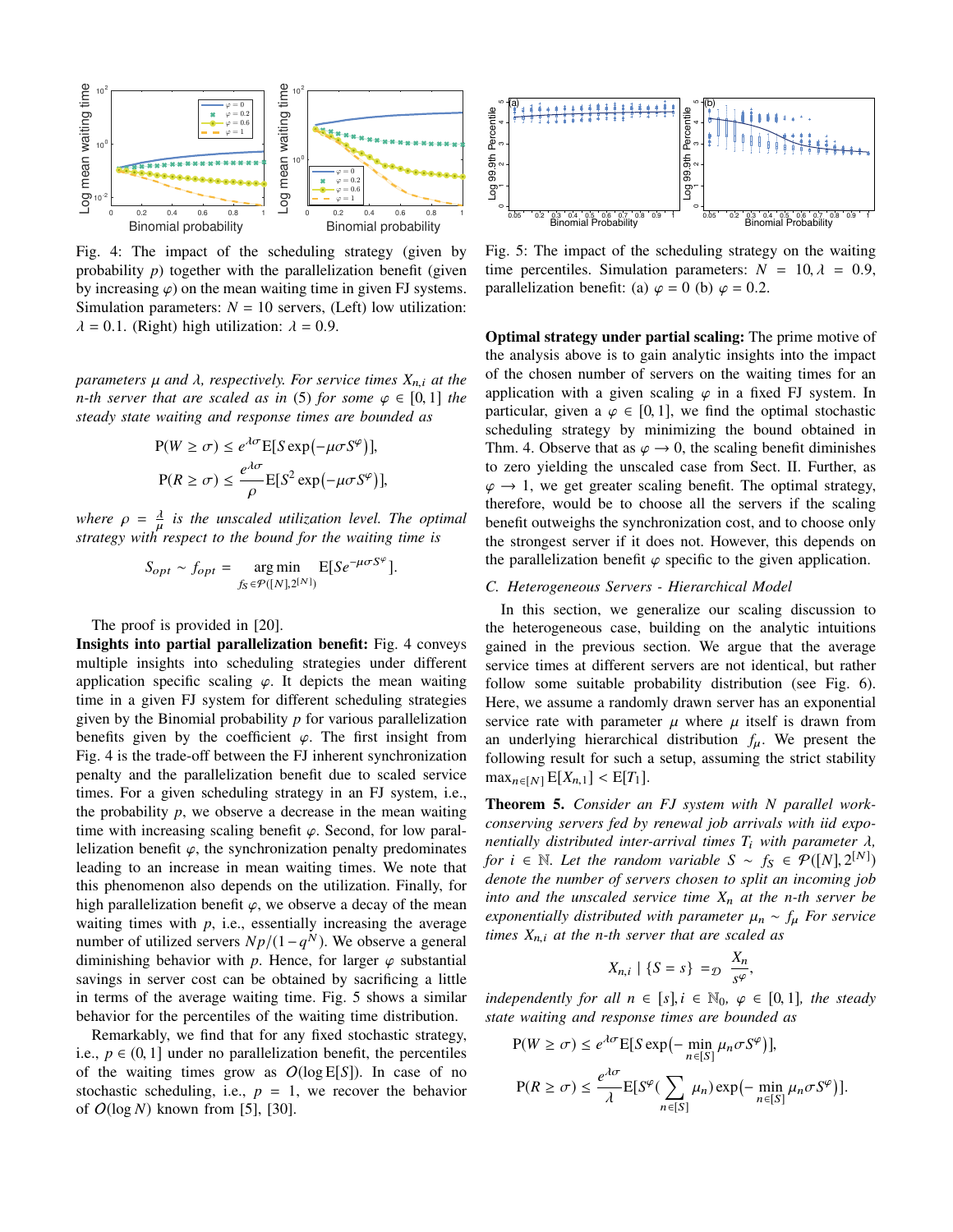

Fig. 4: The impact of the scheduling strategy (given by probability *p*) together with the parallelization benefit (given by increasing  $\varphi$ ) on the mean waiting time in given FJ systems. Simulation parameters:  $N = 10$  servers, (Left) low utilization:  $\lambda = 0.1$ . (Right) high utilization:  $\lambda = 0.9$ .

*parameters* µ *and* λ*, respectively. For service times X*n,<sup>i</sup> *at the n-th server that are scaled as in* (5) *for some*  $\varphi \in [0,1]$  *the steady state waiting and response times are bounded as*

$$
P(W \ge \sigma) \le e^{\lambda \sigma} E[S \exp(-\mu \sigma S^{\varphi})],
$$
  
 
$$
P(R \ge \sigma) \le \frac{e^{\lambda \sigma}}{\rho} E[S^2 \exp(-\mu \sigma S^{\varphi})],
$$

where  $\rho = \frac{\lambda}{\mu}$  is the unscaled utilization level. The optimal *strategy with respect to the bound for the waiting time is*

$$
S_{opt} \sim f_{opt} = \underset{f_S \in \mathcal{P}([N], 2^{[N]})}{\arg \min} \mathbb{E}[S e^{-\mu \sigma S^{\varphi}}].
$$

The proof is provided in [20].

Insights into partial parallelization benefit: Fig. 4 conveys multiple insights into scheduling strategies under different application specific scaling  $\varphi$ . It depicts the mean waiting time in a given FJ system for different scheduling strategies given by the Binomial probability *p* for various parallelization benefits given by the coefficient  $\varphi$ . The first insight from Fig. 4 is the trade-off between the FJ inherent synchronization penalty and the parallelization benefit due to scaled service times. For a given scheduling strategy in an FJ system, i.e., the probability  $p$ , we observe a decrease in the mean waiting time with increasing scaling benefit  $\varphi$ . Second, for low parallelization benefit  $\varphi$ , the synchronization penalty predominates leading to an increase in mean waiting times. We note that this phenomenon also depends on the utilization. Finally, for high parallelization benefit  $\varphi$ , we observe a decay of the mean waiting times with  $p$ , i.e., essentially increasing the average number of utilized servers  $Np/(1-q^N)$ . We observe a general diminishing behavior with  $p$ . Hence, for larger  $\varphi$  substantial savings in server cost can be obtained by sacrificing a little in terms of the average waiting time. Fig. 5 shows a similar behavior for the percentiles of the waiting time distribution.

Remarkably, we find that for any fixed stochastic strategy, i.e.,  $p \in (0, 1]$  under no parallelization benefit, the percentiles of the waiting times grow as  $O(\log E[S])$ . In case of no stochastic scheduling, i.e.,  $p = 1$ , we recover the behavior of O(log *N*) known from [5], [30].



Fig. 5: The impact of the scheduling strategy on the waiting time percentiles. Simulation parameters:  $N = 10$ ,  $\lambda = 0.9$ , parallelization benefit: (a)  $\varphi = 0$  (b)  $\varphi = 0.2$ .

Optimal strategy under partial scaling: The prime motive of the analysis above is to gain analytic insights into the impact of the chosen number of servers on the waiting times for an application with a given scaling  $\varphi$  in a fixed FJ system. In particular, given a  $\varphi \in [0, 1]$ , we find the optimal stochastic scheduling strategy by minimizing the bound obtained in Thm. 4. Observe that as  $\varphi \to 0$ , the scaling benefit diminishes to zero yielding the unscaled case from Sect. II. Further, as  $\varphi \rightarrow 1$ , we get greater scaling benefit. The optimal strategy, therefore, would be to choose all the servers if the scaling benefit outweighs the synchronization cost, and to choose only the strongest server if it does not. However, this depends on the parallelization benefit  $\varphi$  specific to the given application.

#### *C. Heterogeneous Servers - Hierarchical Model*

In this section, we generalize our scaling discussion to the heterogeneous case, building on the analytic intuitions gained in the previous section. We argue that the average service times at different servers are not identical, but rather follow some suitable probability distribution (see Fig. 6). Here, we assume a randomly drawn server has an exponential service rate with parameter  $\mu$  where  $\mu$  itself is drawn from an underlying hierarchical distribution  $f_{\mu}$ . We present the following result for such a setup, assuming the strict stability  $\max_{n \in [N]} E[X_{n,1}] < E[T_1].$ 

Theorem 5. *Consider an FJ system with N parallel workconserving servers fed by renewal job arrivals with iid exponentially distributed inter-arrival times*  $T_i$  *with parameter*  $\lambda$ *, for*  $i \in \mathbb{N}$ . Let the random variable  $S \sim f_S \in \mathcal{P}([N], 2^{[N]})$ *denote the number of servers chosen to split an incoming job into and the unscaled service time X*<sup>n</sup> *at the n-th server be exponentially distributed with parameter*  $\mu_n \sim f_\mu$  *For service times X*n,<sup>i</sup> *at the n-th server that are scaled as*

$$
X_{n,i} \mid \{S=s\} =_{\mathcal{D}} \frac{X_n}{s^{\varphi}},
$$

*independently for all*  $n \in [s], i \in \mathbb{N}_0, \varphi \in [0, 1]$ *, the steady state waiting and response times are bounded as*

$$
P(W \ge \sigma) \le e^{\lambda \sigma} E[S \exp(-\min_{n \in [S]} \mu_n \sigma S^{\varphi})],
$$
  

$$
P(R \ge \sigma) \le \frac{e^{\lambda \sigma}}{\lambda} E[S^{\varphi}(\sum_{n \in [S]} \mu_n) \exp(-\min_{n \in [S]} \mu_n \sigma S^{\varphi})].
$$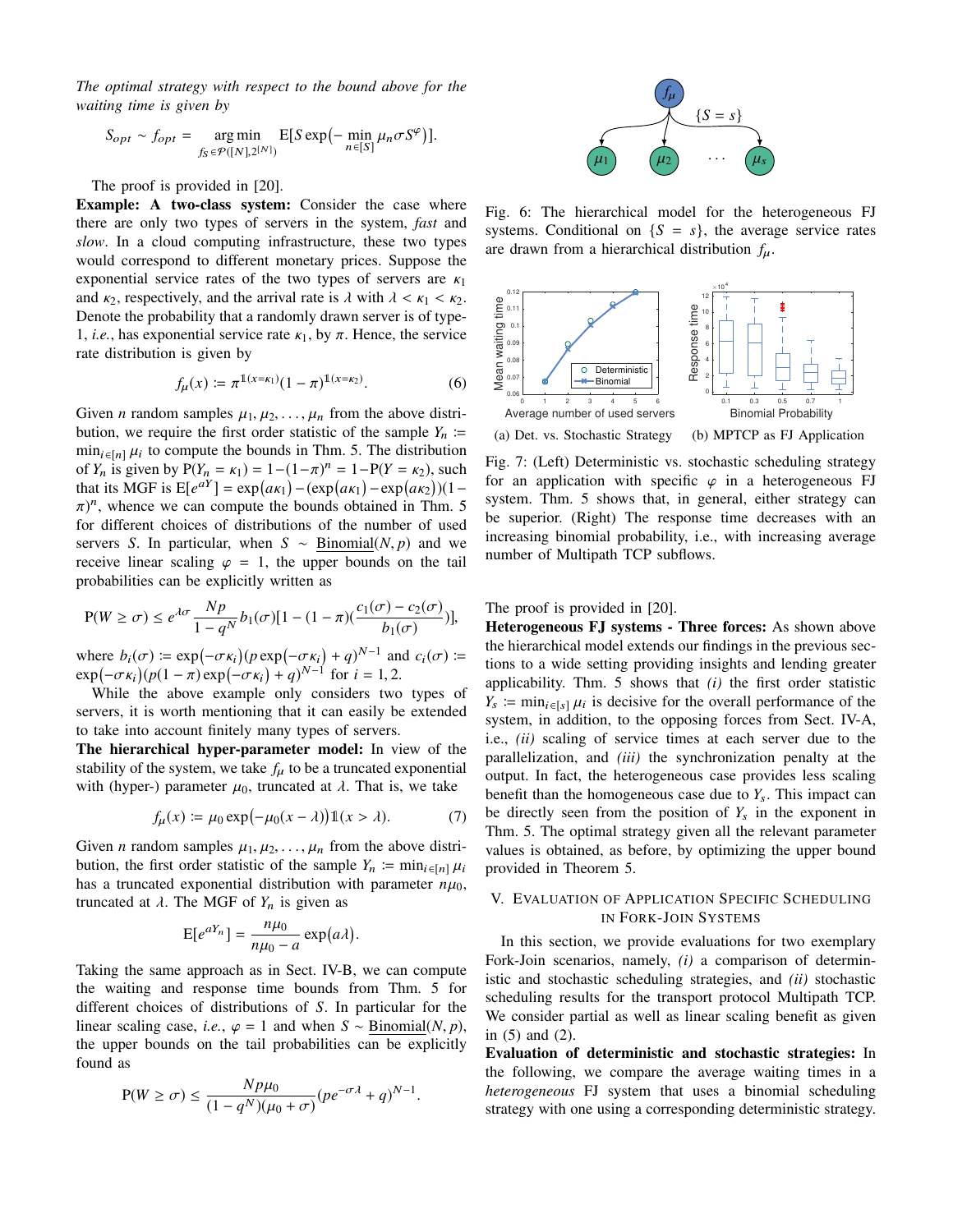*The optimal strategy with respect to the bound above for the waiting time is given by*

$$
S_{opt} \sim f_{opt} = \underset{f_S \in \mathcal{P}([N], 2^{[N]})}{\arg \min} E[S \exp(-\min_{n \in [S]} \mu_n \sigma S^{\varphi})].
$$

The proof is provided in [20].

Example: A two-class system: Consider the case where there are only two types of servers in the system, *fast* and *slow*. In a cloud computing infrastructure, these two types would correspond to different monetary prices. Suppose the exponential service rates of the two types of servers are  $\kappa_1$ and  $\kappa_2$ , respectively, and the arrival rate is  $\lambda$  with  $\lambda < \kappa_1 < \kappa_2$ . Denote the probability that a randomly drawn server is of type-1, *i.e.*, has exponential service rate  $\kappa_1$ , by  $\pi$ . Hence, the service rate distribution is given by

$$
f_{\mu}(x) := \pi^{1(x=\kappa_1)}(1-\pi)^{1(x=\kappa_2)}.
$$
 (6)

Given *n* random samples  $\mu_1, \mu_2, \ldots, \mu_n$  from the above distribution, we require the first order statistic of the sample  $Y_n$  ≔  $\min_{i \in [n]} \mu_i$  to compute the bounds in Thm. 5. The distribution of *Y<sub>n</sub>* is given by  $P(Y_n = \kappa_1) = 1 - (1 - \pi)^n = 1 - P(Y = \kappa_2)$ , such that its MGF is  $E[e^{aY}] = \exp(a\kappa_1) - (\exp(a\kappa_1) - \exp(a\kappa_2))(1 - \kappa_1)$  $(\pi)^n$ , whence we can compute the bounds obtained in Thm. 5 for different choices of distributions of the number of used servers *S*. In particular, when *S* ∼ Binomial(*N*, *p*) and we receive linear scaling  $\varphi = 1$ , the upper bounds on the tail probabilities can be explicitly written as

$$
P(W \ge \sigma) \le e^{\lambda \sigma} \frac{Np}{1 - q^N} b_1(\sigma) [1 - (1 - \pi) \left( \frac{c_1(\sigma) - c_2(\sigma)}{b_1(\sigma)} \right)],
$$

where  $b_i(\sigma) := \exp(-\sigma \kappa_i) (p \exp(-\sigma \kappa_i) + q)^{N-1}$  and  $c_i(\sigma) :=$  $\exp(-\sigma \kappa_i)(p(1 - \pi)\exp(-\sigma \kappa_i) + q)^{N-1}$  for  $i = 1, 2$ .

While the above example only considers two types of servers, it is worth mentioning that it can easily be extended to take into account finitely many types of servers.

The hierarchical hyper-parameter model: In view of the stability of the system, we take  $f_{\mu}$  to be a truncated exponential with (hyper-) parameter  $\mu_0$ , truncated at  $\lambda$ . That is, we take

$$
f_{\mu}(x) \coloneqq \mu_0 \exp(-\mu_0(x - \lambda)) \mathbb{1}(x > \lambda).
$$
 (7)

Given *n* random samples  $\mu_1, \mu_2, \ldots, \mu_n$  from the above distribution, the first order statistic of the sample  $Y_n := \min_{i \in [n]} \mu_i$ has a truncated exponential distribution with parameter  $n\mu_0$ , truncated at  $\lambda$ . The MGF of  $Y_n$  is given as

$$
E[e^{aY_n}] = \frac{n\mu_0}{n\mu_0 - a} \exp(a\lambda).
$$

Taking the same approach as in Sect. IV-B, we can compute the waiting and response time bounds from Thm. 5 for different choices of distributions of *S*. In particular for the linear scaling case, *i.e.*,  $\varphi = 1$  and when *S* ~ Binomial(*N*, *p*), the upper bounds on the tail probabilities can be explicitly found as

$$
P(W \ge \sigma) \le \frac{Np\mu_0}{(1-q^N)(\mu_0 + \sigma)}(pe^{-\sigma\lambda} + q)^{N-1}.
$$



Fig. 6: The hierarchical model for the heterogeneous FJ systems. Conditional on  ${S = s}$ , the average service rates are drawn from a hierarchical distribution *f*µ.



(a) Det. vs. Stochastic Strategy (b) MPTCP as FJ Application

Fig. 7: (Left) Deterministic vs. stochastic scheduling strategy for an application with specific  $\varphi$  in a heterogeneous FJ system. Thm. 5 shows that, in general, either strategy can be superior. (Right) The response time decreases with an increasing binomial probability, i.e., with increasing average number of Multipath TCP subflows.

The proof is provided in [20].

Heterogeneous FJ systems - Three forces: As shown above the hierarchical model extends our findings in the previous sections to a wide setting providing insights and lending greater applicability. Thm. 5 shows that *(i)* the first order statistic  $Y_s := \min_{i \in [s]} \mu_i$  is decisive for the overall performance of the system, in addition, to the opposing forces from Sect. IV-A, i.e., *(ii)* scaling of service times at each server due to the parallelization, and *(iii)* the synchronization penalty at the output. In fact, the heterogeneous case provides less scaling benefit than the homogeneous case due to  $Y_s$ . This impact can be directly seen from the position of  $Y_s$  in the exponent in Thm. 5. The optimal strategy given all the relevant parameter values is obtained, as before, by optimizing the upper bound provided in Theorem 5.

# V. EVALUATION OF APPLICATION SPECIFIC SCHEDULING IN FORK-JOIN SYSTEMS

In this section, we provide evaluations for two exemplary Fork-Join scenarios, namely, *(i)* a comparison of deterministic and stochastic scheduling strategies, and *(ii)* stochastic scheduling results for the transport protocol Multipath TCP. We consider partial as well as linear scaling benefit as given in (5) and (2).

Evaluation of deterministic and stochastic strategies: In the following, we compare the average waiting times in a *heterogeneous* FJ system that uses a binomial scheduling strategy with one using a corresponding deterministic strategy.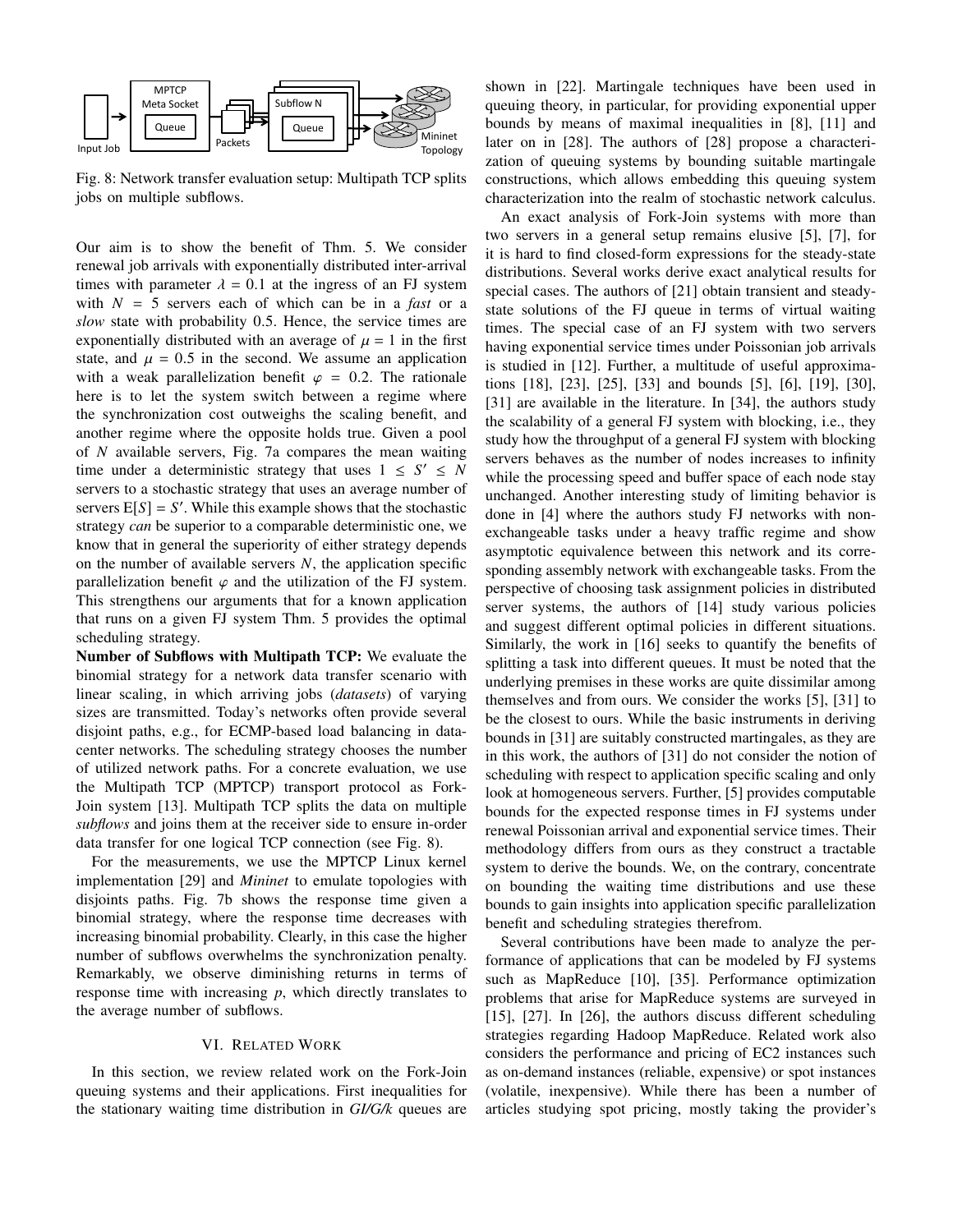

Fig. 8: Network transfer evaluation setup: Multipath TCP splits jobs on multiple subflows.

Our aim is to show the benefit of Thm. 5. We consider renewal job arrivals with exponentially distributed inter-arrival times with parameter  $\lambda = 0.1$  at the ingress of an FJ system with  $N = 5$  servers each of which can be in a *fast* or a *slow* state with probability 0.5. Hence, the service times are exponentially distributed with an average of  $\mu = 1$  in the first state, and  $\mu = 0.5$  in the second. We assume an application with a weak parallelization benefit  $\varphi = 0.2$ . The rationale here is to let the system switch between a regime where the synchronization cost outweighs the scaling benefit, and another regime where the opposite holds true. Given a pool of *N* available servers, Fig. 7a compares the mean waiting time under a deterministic strategy that uses  $1 \leq S' \leq N$ servers to a stochastic strategy that uses an average number of servers  $E[S] = S'$ . While this example shows that the stochastic strategy *can* be superior to a comparable deterministic one, we know that in general the superiority of either strategy depends on the number of available servers *N*, the application specific parallelization benefit  $\varphi$  and the utilization of the FJ system. This strengthens our arguments that for a known application that runs on a given FJ system Thm. 5 provides the optimal scheduling strategy.

Number of Subflows with Multipath TCP: We evaluate the binomial strategy for a network data transfer scenario with linear scaling, in which arriving jobs (*datasets*) of varying sizes are transmitted. Today's networks often provide several disjoint paths, e.g., for ECMP-based load balancing in datacenter networks. The scheduling strategy chooses the number of utilized network paths. For a concrete evaluation, we use the Multipath TCP (MPTCP) transport protocol as Fork-Join system [13]. Multipath TCP splits the data on multiple *subflows* and joins them at the receiver side to ensure in-order data transfer for one logical TCP connection (see Fig. 8).

For the measurements, we use the MPTCP Linux kernel implementation [29] and *Mininet* to emulate topologies with disjoints paths. Fig. 7b shows the response time given a binomial strategy, where the response time decreases with increasing binomial probability. Clearly, in this case the higher number of subflows overwhelms the synchronization penalty. Remarkably, we observe diminishing returns in terms of response time with increasing *p*, which directly translates to the average number of subflows.

# VI. RELATED WORK

In this section, we review related work on the Fork-Join queuing systems and their applications. First inequalities for the stationary waiting time distribution in *GI/G/k* queues are shown in [22]. Martingale techniques have been used in queuing theory, in particular, for providing exponential upper bounds by means of maximal inequalities in [8], [11] and later on in [28]. The authors of [28] propose a characterization of queuing systems by bounding suitable martingale constructions, which allows embedding this queuing system characterization into the realm of stochastic network calculus.

An exact analysis of Fork-Join systems with more than two servers in a general setup remains elusive [5], [7], for it is hard to find closed-form expressions for the steady-state distributions. Several works derive exact analytical results for special cases. The authors of [21] obtain transient and steadystate solutions of the FJ queue in terms of virtual waiting times. The special case of an FJ system with two servers having exponential service times under Poissonian job arrivals is studied in [12]. Further, a multitude of useful approximations [18], [23], [25], [33] and bounds [5], [6], [19], [30], [31] are available in the literature. In [34], the authors study the scalability of a general FJ system with blocking, i.e., they study how the throughput of a general FJ system with blocking servers behaves as the number of nodes increases to infinity while the processing speed and buffer space of each node stay unchanged. Another interesting study of limiting behavior is done in [4] where the authors study FJ networks with nonexchangeable tasks under a heavy traffic regime and show asymptotic equivalence between this network and its corresponding assembly network with exchangeable tasks. From the perspective of choosing task assignment policies in distributed server systems, the authors of [14] study various policies and suggest different optimal policies in different situations. Similarly, the work in [16] seeks to quantify the benefits of splitting a task into different queues. It must be noted that the underlying premises in these works are quite dissimilar among themselves and from ours. We consider the works [5], [31] to be the closest to ours. While the basic instruments in deriving bounds in [31] are suitably constructed martingales, as they are in this work, the authors of [31] do not consider the notion of scheduling with respect to application specific scaling and only look at homogeneous servers. Further, [5] provides computable bounds for the expected response times in FJ systems under renewal Poissonian arrival and exponential service times. Their methodology differs from ours as they construct a tractable system to derive the bounds. We, on the contrary, concentrate on bounding the waiting time distributions and use these bounds to gain insights into application specific parallelization benefit and scheduling strategies therefrom.

Several contributions have been made to analyze the performance of applications that can be modeled by FJ systems such as MapReduce [10], [35]. Performance optimization problems that arise for MapReduce systems are surveyed in [15], [27]. In [26], the authors discuss different scheduling strategies regarding Hadoop MapReduce. Related work also considers the performance and pricing of EC2 instances such as on-demand instances (reliable, expensive) or spot instances (volatile, inexpensive). While there has been a number of articles studying spot pricing, mostly taking the provider's